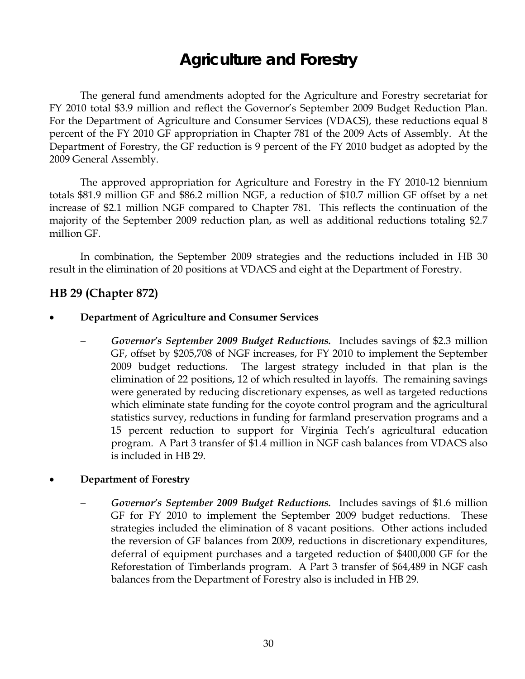# **Agriculture and Forestry**

 The general fund amendments adopted for the Agriculture and Forestry secretariat for FY 2010 total \$3.9 million and reflect the Governor's September 2009 Budget Reduction Plan. For the Department of Agriculture and Consumer Services (VDACS), these reductions equal 8 percent of the FY 2010 GF appropriation in Chapter 781 of the 2009 Acts of Assembly. At the Department of Forestry, the GF reduction is 9 percent of the FY 2010 budget as adopted by the 2009 General Assembly.

The approved appropriation for Agriculture and Forestry in the FY 2010-12 biennium totals \$81.9 million GF and \$86.2 million NGF, a reduction of \$10.7 million GF offset by a net increase of \$2.1 million NGF compared to Chapter 781. This reflects the continuation of the majority of the September 2009 reduction plan, as well as additional reductions totaling \$2.7 million GF.

In combination, the September 2009 strategies and the reductions included in HB 30 result in the elimination of 20 positions at VDACS and eight at the Department of Forestry.

### **HB 29 (Chapter 872)**

#### • **Department of Agriculture and Consumer Services**

− *Governor's September 2009 Budget Reductions.* Includes savings of \$2.3 million GF, offset by \$205,708 of NGF increases, for FY 2010 to implement the September 2009 budget reductions. The largest strategy included in that plan is the elimination of 22 positions, 12 of which resulted in layoffs. The remaining savings were generated by reducing discretionary expenses, as well as targeted reductions which eliminate state funding for the coyote control program and the agricultural statistics survey, reductions in funding for farmland preservation programs and a 15 percent reduction to support for Virginia Tech's agricultural education program. A Part 3 transfer of \$1.4 million in NGF cash balances from VDACS also is included in HB 29.

#### • **Department of Forestry**

− *Governor's September 2009 Budget Reductions.* Includes savings of \$1.6 million GF for FY 2010 to implement the September 2009 budget reductions. These strategies included the elimination of 8 vacant positions. Other actions included the reversion of GF balances from 2009, reductions in discretionary expenditures, deferral of equipment purchases and a targeted reduction of \$400,000 GF for the Reforestation of Timberlands program. A Part 3 transfer of \$64,489 in NGF cash balances from the Department of Forestry also is included in HB 29.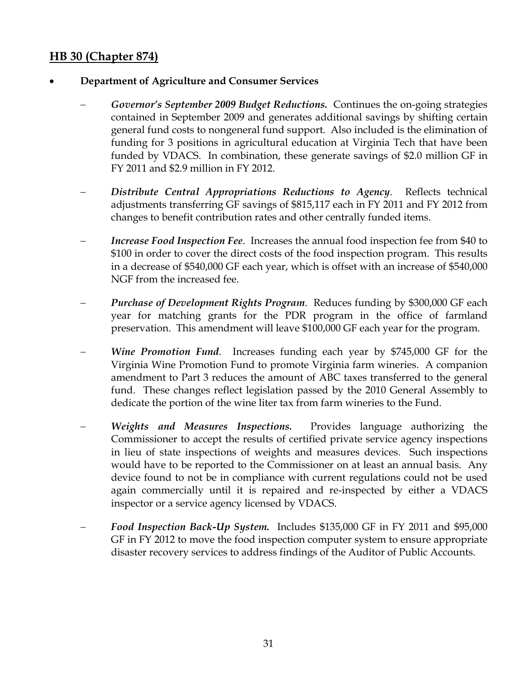# **HB 30 (Chapter 874)**

# • **Department of Agriculture and Consumer Services**

- − *Governor's September 2009 Budget Reductions.* Continues the on-going strategies contained in September 2009 and generates additional savings by shifting certain general fund costs to nongeneral fund support. Also included is the elimination of funding for 3 positions in agricultural education at Virginia Tech that have been funded by VDACS. In combination, these generate savings of \$2.0 million GF in FY 2011 and \$2.9 million in FY 2012.
- − *Distribute Central Appropriations Reductions to Agency*. Reflects technical adjustments transferring GF savings of \$815,117 each in FY 2011 and FY 2012 from changes to benefit contribution rates and other centrally funded items.
- *Increase Food Inspection Fee.* Increases the annual food inspection fee from \$40 to \$100 in order to cover the direct costs of the food inspection program. This results in a decrease of \$540,000 GF each year, which is offset with an increase of \$540,000 NGF from the increased fee.
- *Purchase of Development Rights Program.* Reduces funding by \$300,000 GF each year for matching grants for the PDR program in the office of farmland preservation. This amendment will leave \$100,000 GF each year for the program.
- *Wine Promotion Fund.* Increases funding each year by \$745,000 GF for the Virginia Wine Promotion Fund to promote Virginia farm wineries. A companion amendment to Part 3 reduces the amount of ABC taxes transferred to the general fund. These changes reflect legislation passed by the 2010 General Assembly to dedicate the portion of the wine liter tax from farm wineries to the Fund.
- − *Weights and Measures Inspections.* Provides language authorizing the Commissioner to accept the results of certified private service agency inspections in lieu of state inspections of weights and measures devices. Such inspections would have to be reported to the Commissioner on at least an annual basis. Any device found to not be in compliance with current regulations could not be used again commercially until it is repaired and re-inspected by either a VDACS inspector or a service agency licensed by VDACS.
- Food Inspection Back-Up System. Includes \$135,000 GF in FY 2011 and \$95,000 GF in FY 2012 to move the food inspection computer system to ensure appropriate disaster recovery services to address findings of the Auditor of Public Accounts.